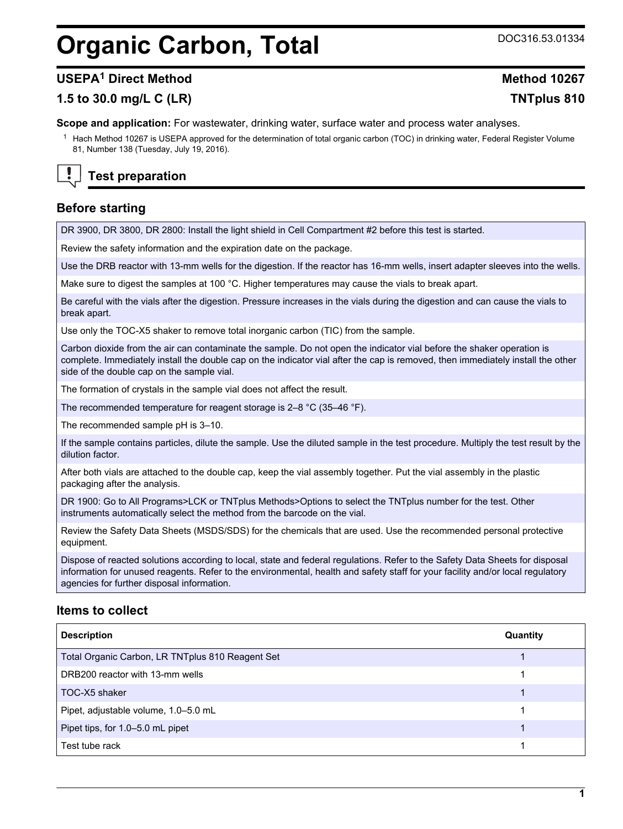# <span id="page-0-0"></span>**Organic Carbon, Total** DOC316.53.01334

### **USEPA<sup>1</sup> Direct Method Method 10267**

## **1.5 to 30.0 mg/L C (LR) TNTplus 810**

**Scope and application:** For wastewater, drinking water, surface water and process water analyses.

<sup>1</sup> Hach Method 10267 is USEPA approved for the determination of total organic carbon (TOC) in drinking water, Federal Register Volume 81, Number 138 (Tuesday, July 19, 2016).

## **Test preparation**

## **Before starting**

DR 3900, DR 3800, DR 2800: Install the light shield in Cell Compartment #2 before this test is started.

Review the safety information and the expiration date on the package.

Use the DRB reactor with 13-mm wells for the digestion. If the reactor has 16-mm wells, insert adapter sleeves into the wells.

Make sure to digest the samples at 100 °C. Higher temperatures may cause the vials to break apart.

Be careful with the vials after the digestion. Pressure increases in the vials during the digestion and can cause the vials to break apart.

Use only the TOC-X5 shaker to remove total inorganic carbon (TIC) from the sample.

Carbon dioxide from the air can contaminate the sample. Do not open the indicator vial before the shaker operation is complete. Immediately install the double cap on the indicator vial after the cap is removed, then immediately install the other side of the double cap on the sample vial.

The formation of crystals in the sample vial does not affect the result.

The recommended temperature for reagent storage is 2–8 °C (35–46 °F).

The recommended sample pH is 3–10.

If the sample contains particles, dilute the sample. Use the diluted sample in the test procedure. Multiply the test result by the dilution factor.

After both vials are attached to the double cap, keep the vial assembly together. Put the vial assembly in the plastic packaging after the analysis.

DR 1900: Go to All Programs>LCK or TNTplus Methods>Options to select the TNTplus number for the test. Other instruments automatically select the method from the barcode on the vial.

Review the Safety Data Sheets (MSDS/SDS) for the chemicals that are used. Use the recommended personal protective equipment.

Dispose of reacted solutions according to local, state and federal regulations. Refer to the Safety Data Sheets for disposal information for unused reagents. Refer to the environmental, health and safety staff for your facility and/or local regulatory agencies for further disposal information.

#### **Items to collect**

| <b>Description</b>                               | Quantity |
|--------------------------------------------------|----------|
| Total Organic Carbon, LR TNTplus 810 Reagent Set |          |
| DRB200 reactor with 13-mm wells                  |          |
| TOC-X5 shaker                                    |          |
| Pipet, adjustable volume, 1.0-5.0 mL             |          |
| Pipet tips, for 1.0-5.0 mL pipet                 |          |
| Test tube rack                                   |          |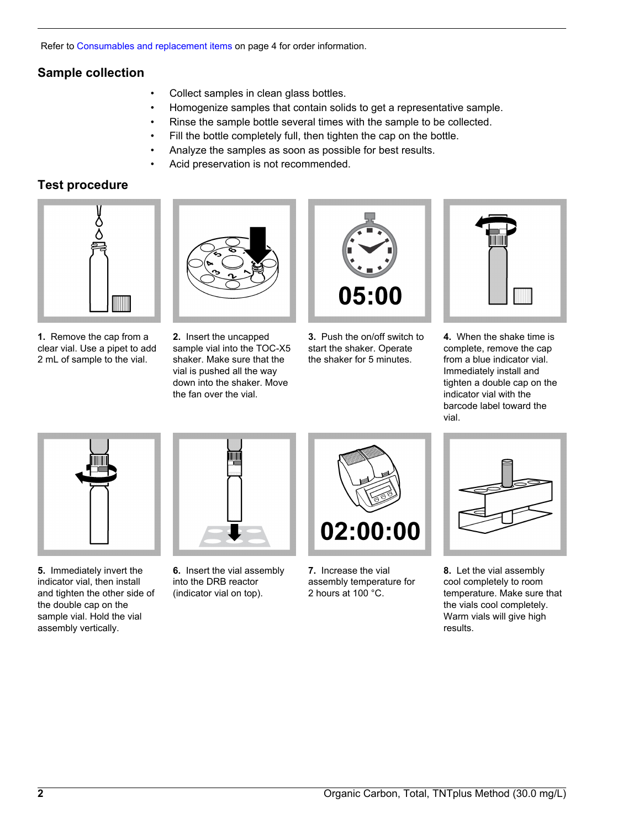Refer to [Consumables and replacement items](#page-3-0) on page 4 for order information.

## **Sample collection**

- Collect samples in clean glass bottles.
- Homogenize samples that contain solids to get a representative sample.
- Rinse the sample bottle several times with the sample to be collected.
- Fill the bottle completely full, then tighten the cap on the bottle.
- Analyze the samples as soon as possible for best results.
- Acid preservation is not recommended.

## **Test procedure**



**1.** Remove the cap from a clear vial. Use a pipet to add 2 mL of sample to the vial.



**2.** Insert the uncapped sample vial into the TOC-X5 shaker. Make sure that the vial is pushed all the way down into the shaker. Move the fan over the vial.



**3.** Push the on/off switch to start the shaker. Operate the shaker for 5 minutes.



**4.** When the shake time is complete, remove the cap from a blue indicator vial. Immediately install and tighten a double cap on the indicator vial with the barcode label toward the vial.



**5.** Immediately invert the indicator vial, then install and tighten the other side of the double cap on the sample vial. Hold the vial assembly vertically.



**6.** Insert the vial assembly into the DRB reactor (indicator vial on top).



**7.** Increase the vial assembly temperature for 2 hours at 100 °C.



**8.** Let the vial assembly cool completely to room temperature. Make sure that the vials cool completely. Warm vials will give high results.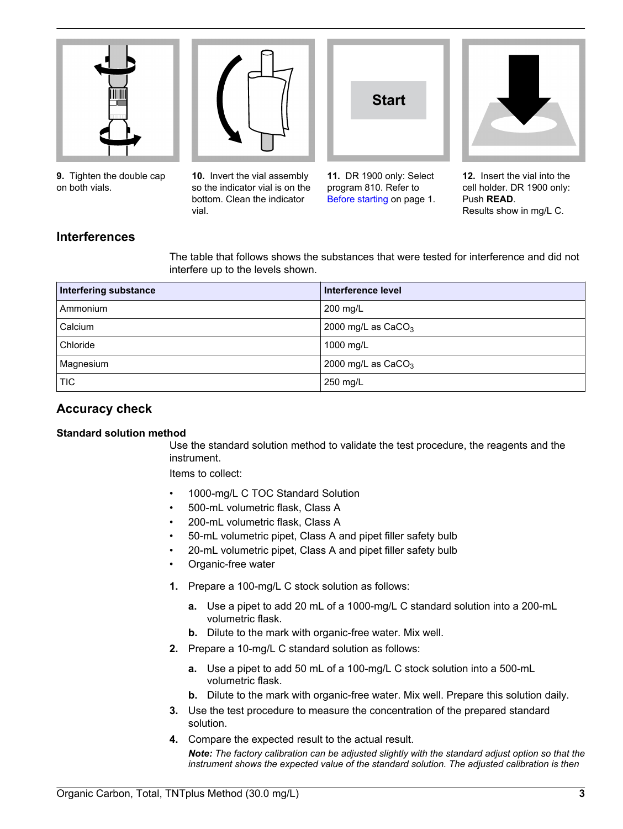

**9.** Tighten the double cap on both vials.



**10.** Invert the vial assembly so the indicator vial is on the bottom. Clean the indicator vial.

**11.** DR 1900 only: Select program 810. Refer to [Before starting](#page-0-0) on page 1.

**Start**



**12.** Insert the vial into the cell holder. DR 1900 only: Push **READ**. Results show in mg/L C.

## **Interferences**

The table that follows shows the substances that were tested for interference and did not interfere up to the levels shown.

| <b>Interfering substance</b> | Interference level   |
|------------------------------|----------------------|
| Ammonium                     | 200 mg/L             |
| Calcium                      | 2000 mg/L as $CaCO3$ |
| Chloride                     | 1000 mg/L            |
| Magnesium                    | 2000 mg/L as $CaCO3$ |
| TIC                          | 250 mg/L             |

## **Accuracy check**

#### **Standard solution method**

Use the standard solution method to validate the test procedure, the reagents and the instrument.

Items to collect:

- 1000-mg/L C TOC Standard Solution
- 500-mL volumetric flask, Class A
- 200-mL volumetric flask, Class A
- 50-mL volumetric pipet, Class A and pipet filler safety bulb
- 20-mL volumetric pipet, Class A and pipet filler safety bulb
- Organic-free water
- **1.** Prepare a 100-mg/L C stock solution as follows:
	- **a.** Use a pipet to add 20 mL of a 1000-mg/L C standard solution into a 200-mL volumetric flask.
	- **b.** Dilute to the mark with organic-free water. Mix well.
- **2.** Prepare a 10-mg/L C standard solution as follows:
	- **a.** Use a pipet to add 50 mL of a 100-mg/L C stock solution into a 500-mL volumetric flask.
	- **b.** Dilute to the mark with organic-free water. Mix well. Prepare this solution daily.
- **3.** Use the test procedure to measure the concentration of the prepared standard solution.
- **4.** Compare the expected result to the actual result. *Note: The factory calibration can be adjusted slightly with the standard adjust option so that the instrument shows the expected value of the standard solution. The adjusted calibration is then*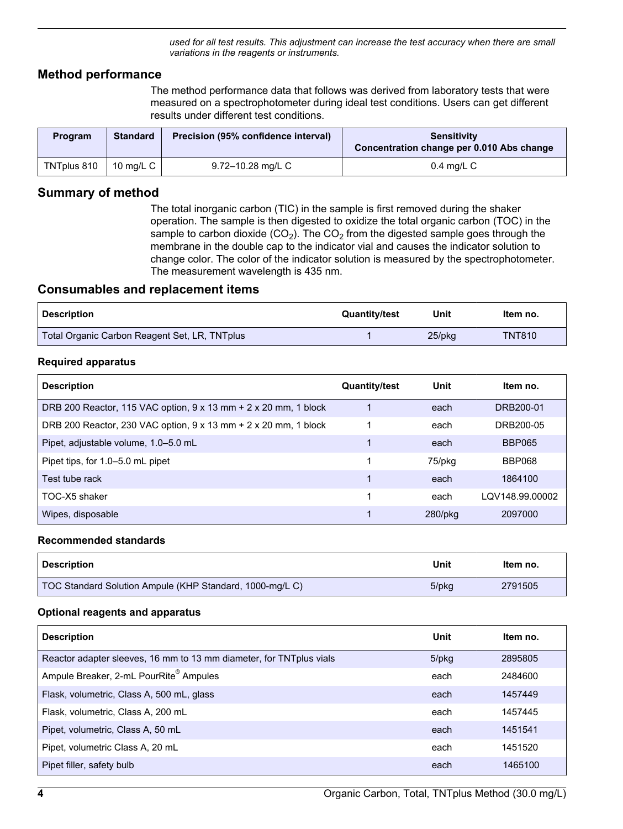*used for all test results. This adjustment can increase the test accuracy when there are small variations in the reagents or instruments.*

#### <span id="page-3-0"></span>**Method performance**

The method performance data that follows was derived from laboratory tests that were measured on a spectrophotometer during ideal test conditions. Users can get different results under different test conditions.

| <b>Program</b> | <b>Standard</b> | Precision (95% confidence interval) | <b>Sensitivity</b><br>Concentration change per 0.010 Abs change |
|----------------|-----------------|-------------------------------------|-----------------------------------------------------------------|
| TNTplus 810    | 10 $ma/L$ C     | 9.72–10.28 mg/L C                   | 0.4 ma/L C                                                      |

#### **Summary of method**

The total inorganic carbon (TIC) in the sample is first removed during the shaker operation. The sample is then digested to oxidize the total organic carbon (TOC) in the sample to carbon dioxide  $(CO_2)$ . The  $CO_2$  from the digested sample goes through the membrane in the double cap to the indicator vial and causes the indicator solution to change color. The color of the indicator solution is measured by the spectrophotometer. The measurement wavelength is 435 nm.

#### **Consumables and replacement items**

| <b>Description</b>                            | <b>Quantity/test</b> | Unit   | ltem no.      |
|-----------------------------------------------|----------------------|--------|---------------|
| Total Organic Carbon Reagent Set, LR, TNTplus |                      | 25/pkg | <b>TNT810</b> |

#### **Required apparatus**

| <b>Description</b>                                              | <b>Quantity/test</b> | Unit       | ltem no.        |
|-----------------------------------------------------------------|----------------------|------------|-----------------|
| DRB 200 Reactor, 115 VAC option, 9 x 13 mm + 2 x 20 mm, 1 block |                      | each       | DRB200-01       |
| DRB 200 Reactor, 230 VAC option, 9 x 13 mm + 2 x 20 mm, 1 block |                      | each       | DRB200-05       |
| Pipet, adjustable volume, 1.0–5.0 mL                            |                      | each       | <b>BBP065</b>   |
| Pipet tips, for 1.0–5.0 mL pipet                                |                      | 75/pkg     | BBP068          |
| Test tube rack                                                  |                      | each       | 1864100         |
| TOC-X5 shaker                                                   |                      | each       | LQV148.99.00002 |
| Wipes, disposable                                               |                      | $280$ /pkq | 2097000         |

#### **Recommended standards**

| <b>Description</b>                                       | Unit  | Item no. |
|----------------------------------------------------------|-------|----------|
| TOC Standard Solution Ampule (KHP Standard, 1000-mg/L C) | 5/pkg | 2791505  |

#### **Optional reagents and apparatus**

| <b>Description</b>                                                   | Unit        | Item no. |
|----------------------------------------------------------------------|-------------|----------|
| Reactor adapter sleeves, 16 mm to 13 mm diameter, for TNT plus vials | $5$ /p $kg$ | 2895805  |
| Ampule Breaker, 2-mL PourRite® Ampules                               | each        | 2484600  |
| Flask, volumetric, Class A, 500 mL, glass                            | each        | 1457449  |
| Flask, volumetric, Class A, 200 mL                                   | each        | 1457445  |
| Pipet, volumetric, Class A, 50 mL                                    | each        | 1451541  |
| Pipet, volumetric Class A, 20 mL                                     | each        | 1451520  |
| Pipet filler, safety bulb                                            | each        | 1465100  |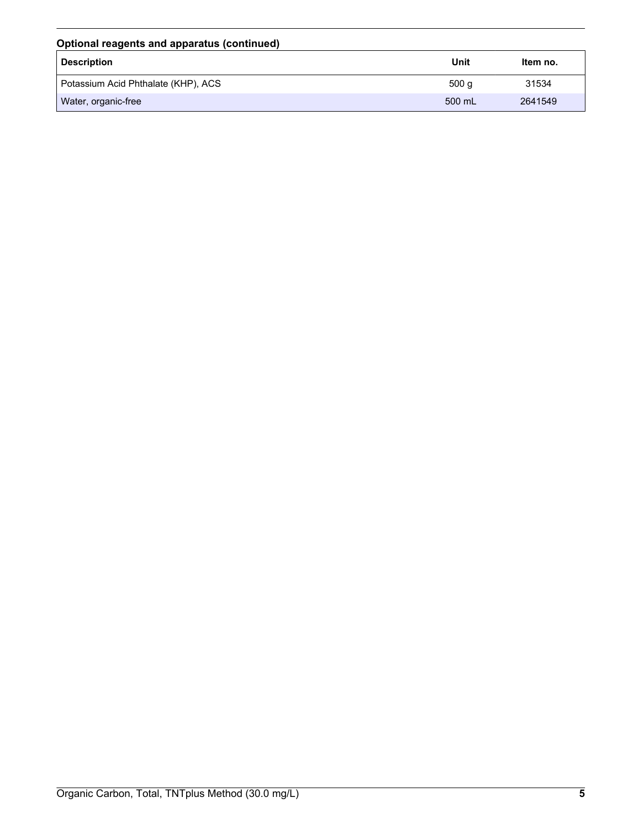| Optional reagents and apparatus (continued) |        |          |
|---------------------------------------------|--------|----------|
| <b>Description</b>                          | Unit   | Item no. |
| Potassium Acid Phthalate (KHP), ACS         | 500q   | 31534    |
| Water, organic-free                         | 500 mL | 2641549  |